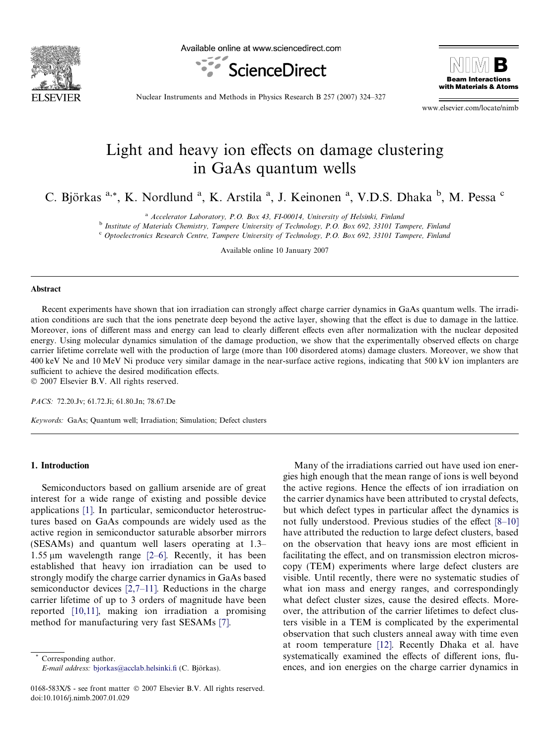

Available online at www.sciencedirect.com





Nuclear Instruments and Methods in Physics Research B 257 (2007) 324–327

www.elsevier.com/locate/nimb

# Light and heavy ion effects on damage clustering in GaAs quantum wells

C. Björkas <sup>a,\*</sup>, K. Nordlund <sup>a</sup>, K. Arstila <sup>a</sup>, J. Keinonen <sup>a</sup>, V.D.S. Dhaka <sup>b</sup>, M. Pessa <sup>c</sup>

<sup>a</sup> Accelerator Laboratory, P.O. Box 43, FI-00014, University of Helsinki, Finland

<sup>b</sup> Institute of Materials Chemistry, Tampere University of Technology, P.O. Box 692, 33101 Tampere, Finland

<sup>c</sup> Optoelectronics Research Centre, Tampere University of Technology, P.O. Box 692, 33101 Tampere, Finland

Available online 10 January 2007

#### Abstract

Recent experiments have shown that ion irradiation can strongly affect charge carrier dynamics in GaAs quantum wells. The irradiation conditions are such that the ions penetrate deep beyond the active layer, showing that the effect is due to damage in the lattice. Moreover, ions of different mass and energy can lead to clearly different effects even after normalization with the nuclear deposited energy. Using molecular dynamics simulation of the damage production, we show that the experimentally observed effects on charge carrier lifetime correlate well with the production of large (more than 100 disordered atoms) damage clusters. Moreover, we show that 400 keV Ne and 10 MeV Ni produce very similar damage in the near-surface active regions, indicating that 500 kV ion implanters are sufficient to achieve the desired modification effects. © 2007 Elsevier B.V. All rights reserved.

PACS: 72.20.Jv; 61.72.Ji; 61.80.Jn; 78.67.De

Keywords: GaAs; Quantum well; Irradiation; Simulation; Defect clusters

# 1. Introduction

Semiconductors based on gallium arsenide are of great interest for a wide range of existing and possible device applications [\[1\].](#page-3-0) In particular, semiconductor heterostructures based on GaAs compounds are widely used as the active region in semiconductor saturable absorber mirrors (SESAMs) and quantum well lasers operating at 1.3– 1.55  $\mu$ m wavelength range [\[2–6\].](#page-3-0) Recently, it has been established that heavy ion irradiation can be used to strongly modify the charge carrier dynamics in GaAs based semiconductor devices [\[2,7–11\].](#page-3-0) Reductions in the charge carrier lifetime of up to 3 orders of magnitude have been reported [\[10,11\],](#page-3-0) making ion irradiation a promising method for manufacturing very fast SESAMs [\[7\].](#page-3-0)

Corresponding author.  $E$ -mail address: [bjorkas@acclab.helsinki.fi](mailto:bjorkas@acclab.helsinki.fi) (C. Björkas).

Many of the irradiations carried out have used ion energies high enough that the mean range of ions is well beyond the active regions. Hence the effects of ion irradiation on the carrier dynamics have been attributed to crystal defects, but which defect types in particular affect the dynamics is not fully understood. Previous studies of the effect [\[8–10\]](#page-3-0) have attributed the reduction to large defect clusters, based on the observation that heavy ions are most efficient in facilitating the effect, and on transmission electron microscopy (TEM) experiments where large defect clusters are visible. Until recently, there were no systematic studies of what ion mass and energy ranges, and correspondingly what defect cluster sizes, cause the desired effects. Moreover, the attribution of the carrier lifetimes to defect clusters visible in a TEM is complicated by the experimental observation that such clusters anneal away with time even at room temperature [\[12\]](#page-3-0). Recently Dhaka et al. have systematically examined the effects of different ions, fluences, and ion energies on the charge carrier dynamics in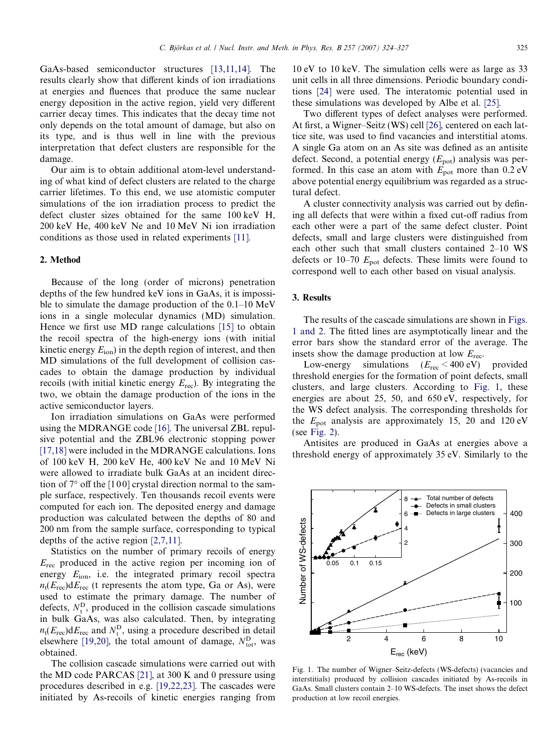<span id="page-1-0"></span>GaAs-based semiconductor structures [\[13,11,14\].](#page-3-0) The results clearly show that different kinds of ion irradiations at energies and fluences that produce the same nuclear energy deposition in the active region, yield very different carrier decay times. This indicates that the decay time not only depends on the total amount of damage, but also on its type, and is thus well in line with the previous interpretation that defect clusters are responsible for the damage.

Our aim is to obtain additional atom-level understanding of what kind of defect clusters are related to the charge carrier lifetimes. To this end, we use atomistic computer simulations of the ion irradiation process to predict the defect cluster sizes obtained for the same 100 keV H, 200 keV He, 400 keV Ne and 10 MeV Ni ion irradiation conditions as those used in related experiments [\[11\].](#page-3-0)

#### 2. Method

Because of the long (order of microns) penetration depths of the few hundred keV ions in GaAs, it is impossible to simulate the damage production of the 0.1–10 MeV ions in a single molecular dynamics (MD) simulation. Hence we first use MD range calculations [\[15\]](#page-3-0) to obtain the recoil spectra of the high-energy ions (with initial kinetic energy  $E_{\text{ion}}$ ) in the depth region of interest, and then MD simulations of the full development of collision cascades to obtain the damage production by individual recoils (with initial kinetic energy  $E_{\text{rec}}$ ). By integrating the two, we obtain the damage production of the ions in the active semiconductor layers.

Ion irradiation simulations on GaAs were performed using the MDRANGE code [\[16\]](#page-3-0). The universal ZBL repulsive potential and the ZBL96 electronic stopping power [\[17,18\]](#page-3-0) were included in the MDRANGE calculations. Ions of 100 keV H, 200 keV He, 400 keV Ne and 10 MeV Ni were allowed to irradiate bulk GaAs at an incident direction of  $7^{\circ}$  off the [100] crystal direction normal to the sample surface, respectively. Ten thousands recoil events were computed for each ion. The deposited energy and damage production was calculated between the depths of 80 and 200 nm from the sample surface, corresponding to typical depths of the active region [\[2,7,11\].](#page-3-0)

Statistics on the number of primary recoils of energy  $E_{\text{rec}}$  produced in the active region per incoming ion of energy  $E_{\text{ion}}$ , i.e. the integrated primary recoil spectra  $n_t(E_{\text{rec}})dE_{\text{rec}}$  (t represents the atom type, Ga or As), were used to estimate the primary damage. The number of defects,  $N_t^D$ , produced in the collision cascade simulations in bulk GaAs, was also calculated. Then, by integrating  $n_t(E_{\text{rec}})dE_{\text{rec}}$  and  $N_t^D$ , using a procedure described in detail elsewhere [\[19,20\]](#page-3-0), the total amount of damage,  $N_{\text{tot}}^{\text{D}}$ , was obtained.

The collision cascade simulations were carried out with the MD code PARCAS [\[21\],](#page-3-0) at 300 K and 0 pressure using procedures described in e.g. [\[19,22,23\]](#page-3-0). The cascades were initiated by As-recoils of kinetic energies ranging from 10 eV to 10 keV. The simulation cells were as large as 33 unit cells in all three dimensions. Periodic boundary conditions [\[24\]](#page-3-0) were used. The interatomic potential used in these simulations was developed by Albe et al. [\[25\]](#page-3-0).

Two different types of defect analyses were performed. At first, a Wigner–Seitz (WS) cell [\[26\],](#page-3-0) centered on each lattice site, was used to find vacancies and interstitial atoms. A single Ga atom on an As site was defined as an antisite defect. Second, a potential energy  $(E_{pot})$  analysis was performed. In this case an atom with  $E_{pot}$  more than 0.2 eV above potential energy equilibrium was regarded as a structural defect.

A cluster connectivity analysis was carried out by defining all defects that were within a fixed cut-off radius from each other were a part of the same defect cluster. Point defects, small and large clusters were distinguished from each other such that small clusters contained 2–10 WS defects or 10–70  $E_{pot}$  defects. These limits were found to correspond well to each other based on visual analysis.

#### 3. Results

The results of the cascade simulations are shown in Figs. 1 and 2. The fitted lines are asymptotically linear and the error bars show the standard error of the average. The insets show the damage production at low  $E_{\text{rec}}$ .

Low-energy simulations  $(E_{\text{rec}} < 400 \text{ eV})$  provided threshold energies for the formation of point defects, small clusters, and large clusters. According to Fig. 1, these energies are about 25, 50, and 650 eV, respectively, for the WS defect analysis. The corresponding thresholds for the  $E_{pot}$  analysis are approximately 15, 20 and 120 eV (see [Fig. 2](#page-2-0)).

Antisites are produced in GaAs at energies above a threshold energy of approximately 35 eV. Similarly to the



Fig. 1. The number of Wigner–Seitz-defects (WS-defects) (vacancies and interstitials) produced by collision cascades initiated by As-recoils in GaAs. Small clusters contain 2–10 WS-defects. The inset shows the defect production at low recoil energies.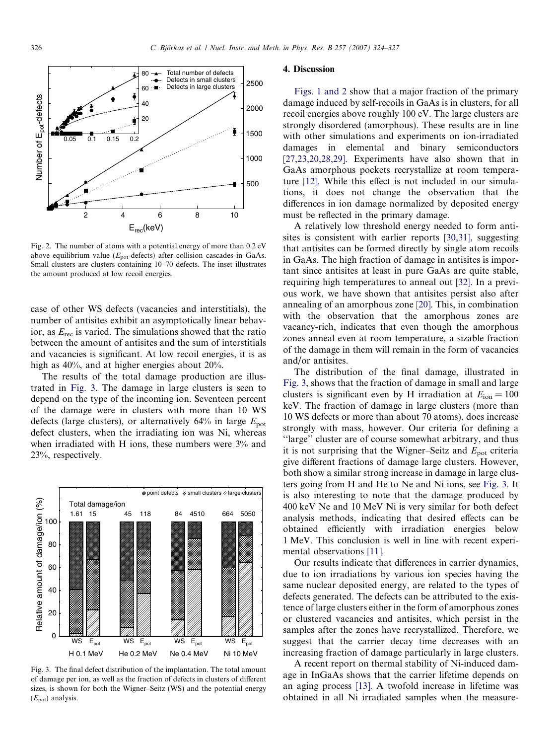<span id="page-2-0"></span>

Fig. 2. The number of atoms with a potential energy of more than 0.2 eV above equilibrium value ( $E_{\text{not}}$ -defects) after collision cascades in GaAs. Small clusters are clusters containing 10–70 defects. The inset illustrates the amount produced at low recoil energies.

case of other WS defects (vacancies and interstitials), the number of antisites exhibit an asymptotically linear behavior, as  $E_{\text{rec}}$  is varied. The simulations showed that the ratio between the amount of antisites and the sum of interstitials and vacancies is significant. At low recoil energies, it is as high as 40%, and at higher energies about 20%.

The results of the total damage production are illustrated in Fig. 3. The damage in large clusters is seen to depend on the type of the incoming ion. Seventeen percent of the damage were in clusters with more than 10 WS defects (large clusters), or alternatively  $64\%$  in large  $E_{\text{pot}}$ defect clusters, when the irradiating ion was Ni, whereas when irradiated with H ions, these numbers were 3% and 23%, respectively.



Fig. 3. The final defect distribution of the implantation. The total amount of damage per ion, as well as the fraction of defects in clusters of different sizes, is shown for both the Wigner–Seitz (WS) and the potential energy  $(E_{pot})$  analysis.

### 4. Discussion

[Figs. 1 and 2](#page-1-0) show that a major fraction of the primary damage induced by self-recoils in GaAs is in clusters, for all recoil energies above roughly 100 eV. The large clusters are strongly disordered (amorphous). These results are in line with other simulations and experiments on ion-irradiated damages in elemental and binary semiconductors [\[27,23,20,28,29\].](#page-3-0) Experiments have also shown that in GaAs amorphous pockets recrystallize at room temperature [\[12\]](#page-3-0). While this effect is not included in our simulations, it does not change the observation that the differences in ion damage normalized by deposited energy must be reflected in the primary damage.

A relatively low threshold energy needed to form antisites is consistent with earlier reports [\[30,31\]](#page-3-0), suggesting that antisites can be formed directly by single atom recoils in GaAs. The high fraction of damage in antisites is important since antisites at least in pure GaAs are quite stable, requiring high temperatures to anneal out [\[32\]](#page-3-0). In a previous work, we have shown that antisites persist also after annealing of an amorphous zone [\[20\].](#page-3-0) This, in combination with the observation that the amorphous zones are vacancy-rich, indicates that even though the amorphous zones anneal even at room temperature, a sizable fraction of the damage in them will remain in the form of vacancies and/or antisites.

The distribution of the final damage, illustrated in Fig. 3, shows that the fraction of damage in small and large clusters is significant even by H irradiation at  $E_{\text{ion}} = 100$ keV. The fraction of damage in large clusters (more than 10 WS defects or more than about 70 atoms), does increase strongly with mass, however. Our criteria for defining a ''large'' cluster are of course somewhat arbitrary, and thus it is not surprising that the Wigner–Seitz and  $E_{\text{pot}}$  criteria give different fractions of damage large clusters. However, both show a similar strong increase in damage in large clusters going from H and He to Ne and Ni ions, see Fig. 3. It is also interesting to note that the damage produced by 400 keV Ne and 10 MeV Ni is very similar for both defect analysis methods, indicating that desired effects can be obtained efficiently with irradiation energies below 1 MeV. This conclusion is well in line with recent experimental observations [\[11\].](#page-3-0)

Our results indicate that differences in carrier dynamics, due to ion irradiations by various ion species having the same nuclear deposited energy, are related to the types of defects generated. The defects can be attributed to the existence of large clusters either in the form of amorphous zones or clustered vacancies and antisites, which persist in the samples after the zones have recrystallized. Therefore, we suggest that the carrier decay time decreases with an increasing fraction of damage particularly in large clusters.

A recent report on thermal stability of Ni-induced damage in InGaAs shows that the carrier lifetime depends on an aging process [\[13\]](#page-3-0). A twofold increase in lifetime was obtained in all Ni irradiated samples when the measure